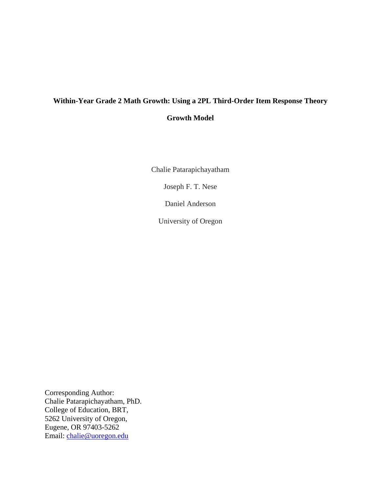# **Within-Year Grade 2 Math Growth: Using a 2PL Third-Order Item Response Theory Growth Model**

Chalie Patarapichayatham

Joseph F. T. Nese

Daniel Anderson

University of Oregon

Corresponding Author: Chalie Patarapichayatham, PhD. College of Education, BRT, 5262 University of Oregon, Eugene, OR 97403-5262 Email: [chalie@uoregon.edu](mailto:chalie@uoregon.edu)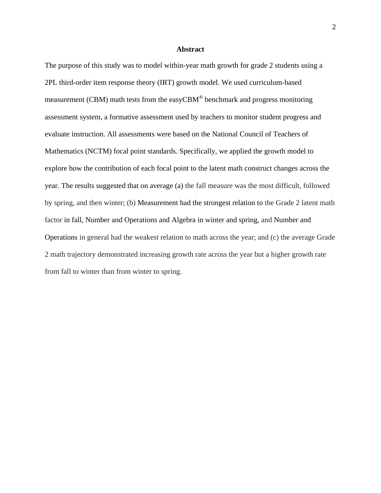#### **Abstract**

The purpose of this study was to model within-year math growth for grade 2 students using a 2PL third-order item response theory (IRT) growth model. We used curriculum-based measurement (CBM) math tests from the easyCBM $^{\circ}$  benchmark and progress monitoring assessment system, a formative assessment used by teachers to monitor student progress and evaluate instruction. All assessments were based on the National Council of Teachers of Mathematics (NCTM) focal point standards. Specifically, we applied the growth model to explore how the contribution of each focal point to the latent math construct changes across the year. The results suggested that on average (a) the fall measure was the most difficult, followed by spring, and then winter; (b) Measurement had the strongest relation to the Grade 2 latent math factor in fall, Number and Operations and Algebra in winter and spring, and Number and Operations in general had the weakest relation to math across the year; and (c) the average Grade 2 math trajectory demonstrated increasing growth rate across the year but a higher growth rate from fall to winter than from winter to spring.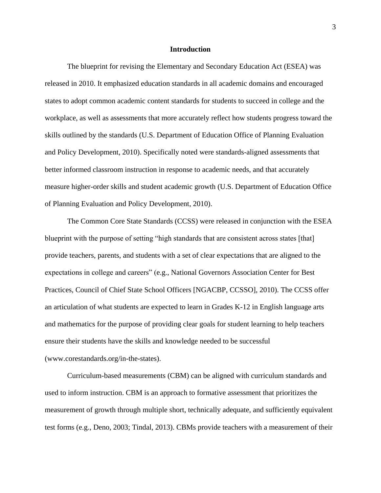#### **Introduction**

The blueprint for revising the Elementary and Secondary Education Act (ESEA) was released in 2010. It emphasized education standards in all academic domains and encouraged states to adopt common academic content standards for students to succeed in college and the workplace, as well as assessments that more accurately reflect how students progress toward the skills outlined by the standards (U.S. Department of Education Office of Planning Evaluation and Policy Development, 2010). Specifically noted were standards-aligned assessments that better informed classroom instruction in response to academic needs, and that accurately measure higher-order skills and student academic growth (U.S. Department of Education Office of Planning Evaluation and Policy Development, 2010).

The Common Core State Standards (CCSS) were released in conjunction with the ESEA blueprint with the purpose of setting "high standards that are consistent across states [that] provide teachers, parents, and students with a set of clear expectations that are aligned to the expectations in college and careers" (e.g., National Governors Association Center for Best Practices, Council of Chief State School Officers [NGACBP, CCSSO], 2010). The CCSS offer an articulation of what students are expected to learn in Grades K-12 in English language arts and mathematics for the purpose of providing clear goals for student learning to help teachers ensure their students have the skills and knowledge needed to be successful (www.corestandards.org/in-the-states).

Curriculum-based measurements (CBM) can be aligned with curriculum standards and used to inform instruction. CBM is an approach to formative assessment that prioritizes the measurement of growth through multiple short, technically adequate, and sufficiently equivalent test forms (e.g., Deno, 2003; Tindal, 2013). CBMs provide teachers with a measurement of their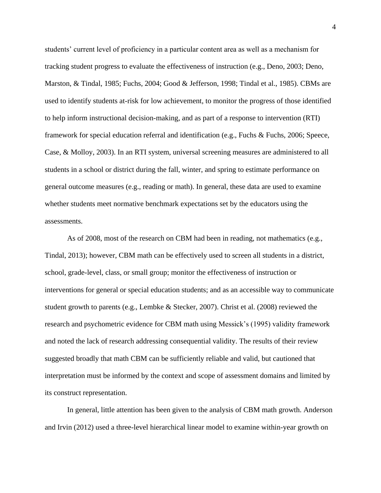students' current level of proficiency in a particular content area as well as a mechanism for tracking student progress to evaluate the effectiveness of instruction (e.g., Deno, 2003; Deno, Marston, & Tindal, 1985; Fuchs, 2004; Good & Jefferson, 1998; Tindal et al., 1985). CBMs are used to identify students at-risk for low achievement, to monitor the progress of those identified to help inform instructional decision-making, and as part of a response to intervention (RTI) framework for special education referral and identification (e.g., Fuchs & Fuchs, 2006; Speece, Case, & Molloy, 2003). In an RTI system, universal screening measures are administered to all students in a school or district during the fall, winter, and spring to estimate performance on general outcome measures (e.g., reading or math). In general, these data are used to examine whether students meet normative benchmark expectations set by the educators using the assessments.

As of 2008, most of the research on CBM had been in reading, not mathematics (e.g., Tindal, 2013); however, CBM math can be effectively used to screen all students in a district, school, grade-level, class, or small group; monitor the effectiveness of instruction or interventions for general or special education students; and as an accessible way to communicate student growth to parents (e.g., Lembke & Stecker, 2007). Christ et al. (2008) reviewed the research and psychometric evidence for CBM math using Messick's (1995) validity framework and noted the lack of research addressing consequential validity. The results of their review suggested broadly that math CBM can be sufficiently reliable and valid, but cautioned that interpretation must be informed by the context and scope of assessment domains and limited by its construct representation.

In general, little attention has been given to the analysis of CBM math growth. Anderson and Irvin (2012) used a three-level hierarchical linear model to examine within-year growth on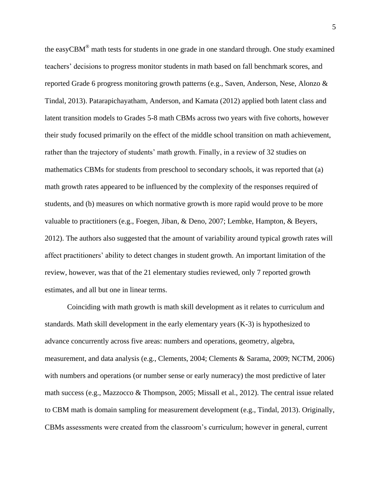the easyCBM® math tests for students in one grade in one standard through. One study examined teachers' decisions to progress monitor students in math based on fall benchmark scores, and reported Grade 6 progress monitoring growth patterns (e.g., Saven, Anderson, Nese, Alonzo & Tindal, 2013). Patarapichayatham, Anderson, and Kamata (2012) applied both latent class and latent transition models to Grades 5-8 math CBMs across two years with five cohorts, however their study focused primarily on the effect of the middle school transition on math achievement, rather than the trajectory of students' math growth. Finally, in a review of 32 studies on mathematics CBMs for students from preschool to secondary schools, it was reported that (a) math growth rates appeared to be influenced by the complexity of the responses required of students, and (b) measures on which normative growth is more rapid would prove to be more valuable to practitioners (e.g., Foegen, Jiban, & Deno, 2007; Lembke, Hampton, & Beyers, 2012). The authors also suggested that the amount of variability around typical growth rates will affect practitioners' ability to detect changes in student growth. An important limitation of the review, however, was that of the 21 elementary studies reviewed, only 7 reported growth estimates, and all but one in linear terms.

Coinciding with math growth is math skill development as it relates to curriculum and standards. Math skill development in the early elementary years (K-3) is hypothesized to advance concurrently across five areas: numbers and operations, geometry, algebra, measurement, and data analysis (e.g., Clements, 2004; Clements & Sarama, 2009; NCTM, 2006) with numbers and operations (or number sense or early numeracy) the most predictive of later math success (e.g., Mazzocco & Thompson, 2005; Missall et al., 2012). The central issue related to CBM math is domain sampling for measurement development (e.g., Tindal, 2013). Originally, CBMs assessments were created from the classroom's curriculum; however in general, current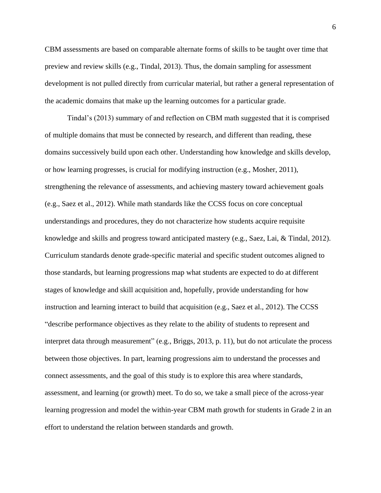CBM assessments are based on comparable alternate forms of skills to be taught over time that preview and review skills (e.g., Tindal, 2013). Thus, the domain sampling for assessment development is not pulled directly from curricular material, but rather a general representation of the academic domains that make up the learning outcomes for a particular grade.

Tindal's (2013) summary of and reflection on CBM math suggested that it is comprised of multiple domains that must be connected by research, and different than reading, these domains successively build upon each other. Understanding how knowledge and skills develop, or how learning progresses, is crucial for modifying instruction (e.g., Mosher, 2011), strengthening the relevance of assessments, and achieving mastery toward achievement goals (e.g., Saez et al., 2012). While math standards like the CCSS focus on core conceptual understandings and procedures, they do not characterize how students acquire requisite knowledge and skills and progress toward anticipated mastery (e.g., Saez, Lai, & Tindal, 2012). Curriculum standards denote grade-specific material and specific student outcomes aligned to those standards, but learning progressions map what students are expected to do at different stages of knowledge and skill acquisition and, hopefully, provide understanding for how instruction and learning interact to build that acquisition (e.g., Saez et al., 2012). The CCSS "describe performance objectives as they relate to the ability of students to represent and interpret data through measurement" (e.g., Briggs, 2013, p. 11), but do not articulate the process between those objectives. In part, learning progressions aim to understand the processes and connect assessments, and the goal of this study is to explore this area where standards, assessment, and learning (or growth) meet. To do so, we take a small piece of the across-year learning progression and model the within-year CBM math growth for students in Grade 2 in an effort to understand the relation between standards and growth.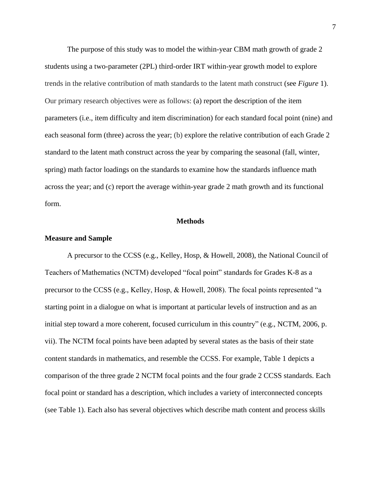The purpose of this study was to model the within-year CBM math growth of grade 2 students using a two-parameter (2PL) third-order IRT within-year growth model to explore trends in the relative contribution of math standards to the latent math construct (see *Figure* 1). Our primary research objectives were as follows: (a) report the description of the item parameters (i.e., item difficulty and item discrimination) for each standard focal point (nine) and each seasonal form (three) across the year; (b) explore the relative contribution of each Grade 2 standard to the latent math construct across the year by comparing the seasonal (fall, winter, spring) math factor loadings on the standards to examine how the standards influence math across the year; and (c) report the average within-year grade 2 math growth and its functional form.

#### **Methods**

#### **Measure and Sample**

A precursor to the CCSS (e.g., Kelley, Hosp, & Howell, 2008), the National Council of Teachers of Mathematics (NCTM) developed "focal point" standards for Grades K-8 as a precursor to the CCSS (e.g., Kelley, Hosp, & Howell, 2008). The focal points represented "a starting point in a dialogue on what is important at particular levels of instruction and as an initial step toward a more coherent, focused curriculum in this country" (e.g., NCTM, 2006, p. vii). The NCTM focal points have been adapted by several states as the basis of their state content standards in mathematics, and resemble the CCSS. For example, Table 1 depicts a comparison of the three grade 2 NCTM focal points and the four grade 2 CCSS standards. Each focal point or standard has a description, which includes a variety of interconnected concepts (see Table 1). Each also has several objectives which describe math content and process skills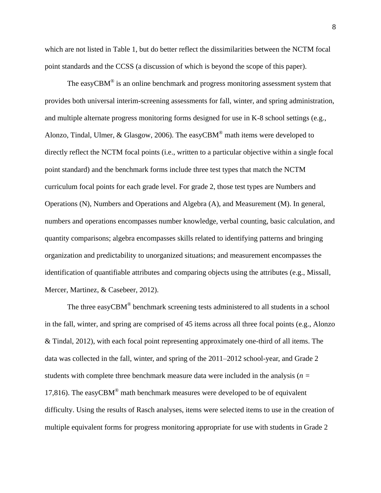which are not listed in Table 1, but do better reflect the dissimilarities between the NCTM focal point standards and the CCSS (a discussion of which is beyond the scope of this paper).

The easyCBM $^{\circledR}$  is an online benchmark and progress monitoring assessment system that provides both universal interim-screening assessments for fall, winter, and spring administration, and multiple alternate progress monitoring forms designed for use in K-8 school settings (e.g., Alonzo, Tindal, Ulmer, & Glasgow, 2006). The easyCBM® math items were developed to directly reflect the NCTM focal points (i.e., written to a particular objective within a single focal point standard) and the benchmark forms include three test types that match the NCTM curriculum focal points for each grade level. For grade 2, those test types are Numbers and Operations (N), Numbers and Operations and Algebra (A), and Measurement (M). In general, numbers and operations encompasses number knowledge, verbal counting, basic calculation, and quantity comparisons; algebra encompasses skills related to identifying patterns and bringing organization and predictability to unorganized situations; and measurement encompasses the identification of quantifiable attributes and comparing objects using the attributes (e.g., Missall, Mercer, Martinez, & Casebeer, 2012).

The three easy $CBM^{\circledast}$  benchmark screening tests administered to all students in a school in the fall, winter, and spring are comprised of 45 items across all three focal points (e.g., Alonzo & Tindal, 2012), with each focal point representing approximately one-third of all items. The data was collected in the fall, winter, and spring of the 2011–2012 school-year, and Grade 2 students with complete three benchmark measure data were included in the analysis (*n =*  17,816). The easyCBM<sup>®</sup> math benchmark measures were developed to be of equivalent difficulty. Using the results of Rasch analyses, items were selected items to use in the creation of multiple equivalent forms for progress monitoring appropriate for use with students in Grade 2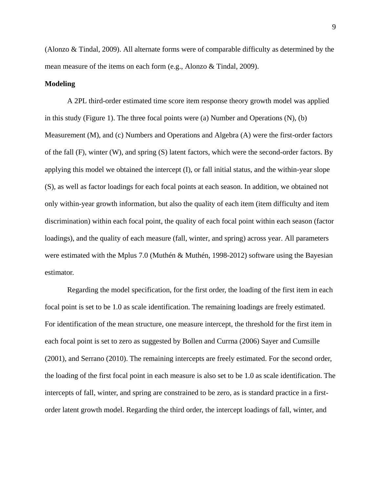(Alonzo & Tindal, 2009). All alternate forms were of comparable difficulty as determined by the mean measure of the items on each form (e.g., Alonzo & Tindal, 2009).

#### **Modeling**

A 2PL third-order estimated time score item response theory growth model was applied in this study (Figure 1). The three focal points were (a) Number and Operations (N), (b) Measurement (M), and (c) Numbers and Operations and Algebra (A) were the first-order factors of the fall (F), winter (W), and spring (S) latent factors, which were the second-order factors. By applying this model we obtained the intercept (I), or fall initial status, and the within-year slope (S), as well as factor loadings for each focal points at each season. In addition, we obtained not only within-year growth information, but also the quality of each item (item difficulty and item discrimination) within each focal point, the quality of each focal point within each season (factor loadings), and the quality of each measure (fall, winter, and spring) across year. All parameters were estimated with the Mplus 7.0 (Muthén & Muthén, 1998-2012) software using the Bayesian estimator.

Regarding the model specification, for the first order, the loading of the first item in each focal point is set to be 1.0 as scale identification. The remaining loadings are freely estimated. For identification of the mean structure, one measure intercept, the threshold for the first item in each focal point is set to zero as suggested by Bollen and Currna (2006) Sayer and Cumsille (2001), and Serrano (2010). The remaining intercepts are freely estimated. For the second order, the loading of the first focal point in each measure is also set to be 1.0 as scale identification. The intercepts of fall, winter, and spring are constrained to be zero, as is standard practice in a firstorder latent growth model. Regarding the third order, the intercept loadings of fall, winter, and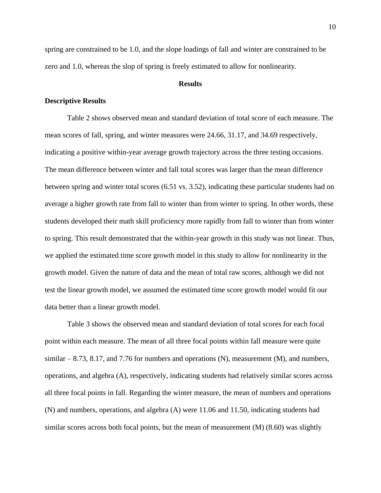spring are constrained to be 1.0, and the slope loadings of fall and winter are constrained to be zero and 1.0, whereas the slop of spring is freely estimated to allow for nonlinearity.

### **Results**

#### **Descriptive Results**

Table 2 shows observed mean and standard deviation of total score of each measure. The mean scores of fall, spring, and winter measures were 24.66, 31.17, and 34.69 respectively, indicating a positive within-year average growth trajectory across the three testing occasions. The mean difference between winter and fall total scores was larger than the mean difference between spring and winter total scores (6.51 vs. 3.52), indicating these particular students had on average a higher growth rate from fall to winter than from winter to spring. In other words, these students developed their math skill proficiency more rapidly from fall to winter than from winter to spring. This result demonstrated that the within-year growth in this study was not linear. Thus, we applied the estimated time score growth model in this study to allow for nonlinearity in the growth model. Given the nature of data and the mean of total raw scores, although we did not test the linear growth model, we assumed the estimated time score growth model would fit our data better than a linear growth model.

Table 3 shows the observed mean and standard deviation of total scores for each focal point within each measure. The mean of all three focal points within fall measure were quite similar – 8.73, 8.17, and 7.76 for numbers and operations (N), measurement (M), and numbers, operations, and algebra (A), respectively, indicating students had relatively similar scores across all three focal points in fall. Regarding the winter measure, the mean of numbers and operations (N) and numbers, operations, and algebra (A) were 11.06 and 11.50, indicating students had similar scores across both focal points, but the mean of measurement (M) (8.60) was slightly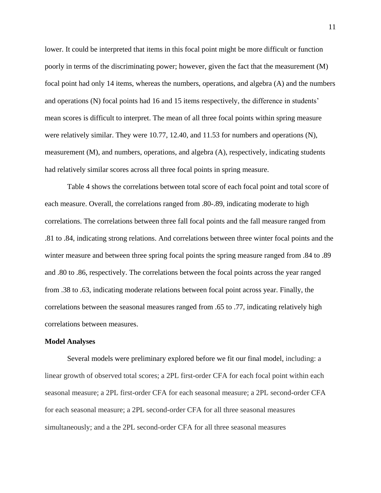lower. It could be interpreted that items in this focal point might be more difficult or function poorly in terms of the discriminating power; however, given the fact that the measurement (M) focal point had only 14 items, whereas the numbers, operations, and algebra (A) and the numbers and operations (N) focal points had 16 and 15 items respectively, the difference in students' mean scores is difficult to interpret. The mean of all three focal points within spring measure were relatively similar. They were 10.77, 12.40, and 11.53 for numbers and operations (N), measurement (M), and numbers, operations, and algebra (A), respectively, indicating students had relatively similar scores across all three focal points in spring measure.

Table 4 shows the correlations between total score of each focal point and total score of each measure. Overall, the correlations ranged from .80-.89, indicating moderate to high correlations. The correlations between three fall focal points and the fall measure ranged from .81 to .84, indicating strong relations. And correlations between three winter focal points and the winter measure and between three spring focal points the spring measure ranged from .84 to .89 and .80 to .86, respectively. The correlations between the focal points across the year ranged from .38 to .63, indicating moderate relations between focal point across year. Finally, the correlations between the seasonal measures ranged from .65 to .77, indicating relatively high correlations between measures.

#### **Model Analyses**

Several models were preliminary explored before we fit our final model, including: a linear growth of observed total scores; a 2PL first-order CFA for each focal point within each seasonal measure; a 2PL first-order CFA for each seasonal measure; a 2PL second-order CFA for each seasonal measure; a 2PL second-order CFA for all three seasonal measures simultaneously; and a the 2PL second-order CFA for all three seasonal measures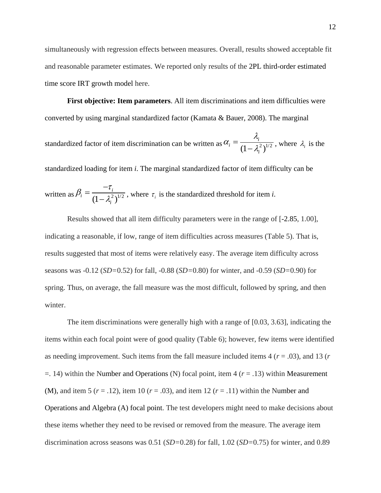simultaneously with regression effects between measures. Overall, results showed acceptable fit and reasonable parameter estimates. We reported only results of the 2PL third-order estimated time score IRT growth model here.

**First objective: Item parameters**. All item discriminations and item difficulties were converted by using marginal standardized factor (Kamata & Bauer, 2008). The marginal standardized factor of item discrimination can be written as  $\alpha_i = \frac{1}{(1 - \lambda_i^2)^{1/2}}$ *i i i*  $\lambda$ .  $\alpha_i = \frac{1}{(1 - \lambda_i)}$  $=$  $\frac{1}{(1-\lambda_i^2)^{1/2}}$ , where  $\lambda_i$  is the standardized loading for item *i*. The marginal standardized factor of item difficulty can be written as  $\beta_i = \frac{1}{(1 - \lambda_i^2)^{1/2}}$ *i i i*  $\beta_i = \frac{-\tau}{\tau_i - \tau_i}$  $\lambda$ :  $\overline{\phantom{a}}$ =  $\frac{1}{(1-\lambda_i^2)^{1/2}}$ , where  $\tau_i$  is the standardized threshold for item *i*.

Results showed that all item difficulty parameters were in the range of [-2.85, 1.00], indicating a reasonable, if low, range of item difficulties across measures (Table 5). That is, results suggested that most of items were relatively easy. The average item difficulty across seasons was -0.12 (*SD=*0.52) for fall, -0.88 (*SD=*0.80) for winter, and -0.59 (*SD=*0.90) for spring. Thus, on average, the fall measure was the most difficult, followed by spring, and then winter.

The item discriminations were generally high with a range of [0.03, 3.63], indicating the items within each focal point were of good quality (Table 6); however, few items were identified as needing improvement. Such items from the fall measure included items 4 (*r* = .03), and 13 (*r* =. 14) within the Number and Operations (N) focal point, item 4 (*r* = .13) within Measurement (M), and item 5  $(r = .12)$ , item 10  $(r = .03)$ , and item 12  $(r = .11)$  within the Number and Operations and Algebra (A) focal point. The test developers might need to make decisions about these items whether they need to be revised or removed from the measure. The average item discrimination across seasons was 0.51 (*SD=*0.28) for fall, 1.02 (*SD=*0.75) for winter, and 0.89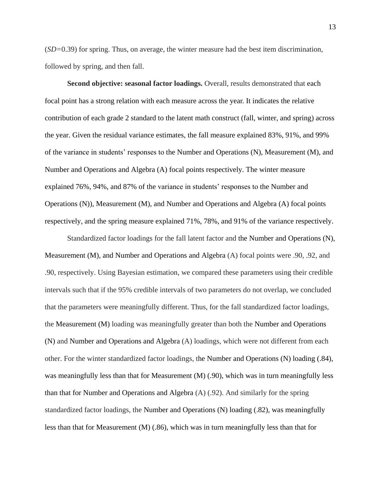(*SD=*0.39) for spring. Thus, on average, the winter measure had the best item discrimination, followed by spring, and then fall.

**Second objective: seasonal factor loadings.** Overall, results demonstrated that each focal point has a strong relation with each measure across the year. It indicates the relative contribution of each grade 2 standard to the latent math construct (fall, winter, and spring) across the year. Given the residual variance estimates, the fall measure explained 83%, 91%, and 99% of the variance in students' responses to the Number and Operations (N), Measurement (M), and Number and Operations and Algebra (A) focal points respectively. The winter measure explained 76%, 94%, and 87% of the variance in students' responses to the Number and Operations (N)), Measurement (M), and Number and Operations and Algebra (A) focal points respectively, and the spring measure explained 71%, 78%, and 91% of the variance respectively.

Standardized factor loadings for the fall latent factor and the Number and Operations (N), Measurement (M), and Number and Operations and Algebra (A) focal points were .90, .92, and .90, respectively. Using Bayesian estimation, we compared these parameters using their credible intervals such that if the 95% credible intervals of two parameters do not overlap, we concluded that the parameters were meaningfully different. Thus, for the fall standardized factor loadings, the Measurement (M) loading was meaningfully greater than both the Number and Operations (N) and Number and Operations and Algebra (A) loadings, which were not different from each other. For the winter standardized factor loadings, the Number and Operations (N) loading (.84), was meaningfully less than that for Measurement (M) (.90), which was in turn meaningfully less than that for Number and Operations and Algebra (A) (.92). And similarly for the spring standardized factor loadings, the Number and Operations (N) loading (.82), was meaningfully less than that for Measurement (M) (.86), which was in turn meaningfully less than that for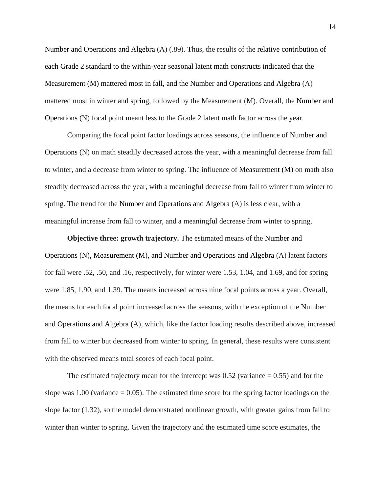Number and Operations and Algebra (A) (.89). Thus, the results of the relative contribution of each Grade 2 standard to the within-year seasonal latent math constructs indicated that the Measurement (M) mattered most in fall, and the Number and Operations and Algebra (A) mattered most in winter and spring, followed by the Measurement (M). Overall, the Number and Operations (N) focal point meant less to the Grade 2 latent math factor across the year.

Comparing the focal point factor loadings across seasons, the influence of Number and Operations (N) on math steadily decreased across the year, with a meaningful decrease from fall to winter, and a decrease from winter to spring. The influence of Measurement (M) on math also steadily decreased across the year, with a meaningful decrease from fall to winter from winter to spring. The trend for the Number and Operations and Algebra (A) is less clear, with a meaningful increase from fall to winter, and a meaningful decrease from winter to spring.

**Objective three: growth trajectory.** The estimated means of the Number and Operations (N), Measurement (M), and Number and Operations and Algebra (A) latent factors for fall were .52, .50, and .16, respectively, for winter were 1.53, 1.04, and 1.69, and for spring were 1.85, 1.90, and 1.39. The means increased across nine focal points across a year. Overall, the means for each focal point increased across the seasons, with the exception of the Number and Operations and Algebra (A), which, like the factor loading results described above, increased from fall to winter but decreased from winter to spring. In general, these results were consistent with the observed means total scores of each focal point.

The estimated trajectory mean for the intercept was  $0.52$  (variance  $= 0.55$ ) and for the slope was 1.00 (variance  $= 0.05$ ). The estimated time score for the spring factor loadings on the slope factor (1.32), so the model demonstrated nonlinear growth, with greater gains from fall to winter than winter to spring. Given the trajectory and the estimated time score estimates, the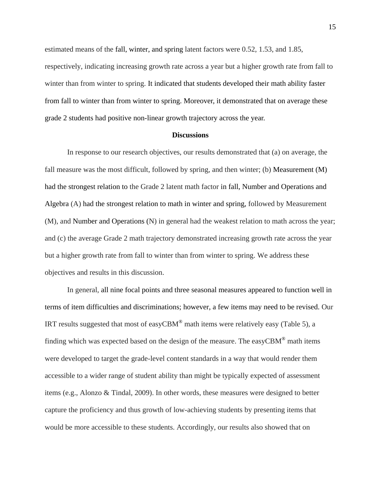estimated means of the fall, winter, and spring latent factors were 0.52, 1.53, and 1.85, respectively, indicating increasing growth rate across a year but a higher growth rate from fall to winter than from winter to spring. It indicated that students developed their math ability faster from fall to winter than from winter to spring. Moreover, it demonstrated that on average these grade 2 students had positive non-linear growth trajectory across the year.

### **Discussions**

In response to our research objectives, our results demonstrated that (a) on average, the fall measure was the most difficult, followed by spring, and then winter; (b) Measurement (M) had the strongest relation to the Grade 2 latent math factor in fall, Number and Operations and Algebra (A) had the strongest relation to math in winter and spring, followed by Measurement (M), and Number and Operations (N) in general had the weakest relation to math across the year; and (c) the average Grade 2 math trajectory demonstrated increasing growth rate across the year but a higher growth rate from fall to winter than from winter to spring. We address these objectives and results in this discussion.

In general, all nine focal points and three seasonal measures appeared to function well in terms of item difficulties and discriminations; however, a few items may need to be revised. Our IRT results suggested that most of easyCBM<sup>®</sup> math items were relatively easy (Table 5), a finding which was expected based on the design of the measure. The easy $CBM^{\circledast}$  math items were developed to target the grade-level content standards in a way that would render them accessible to a wider range of student ability than might be typically expected of assessment items (e.g., Alonzo & Tindal, 2009). In other words, these measures were designed to better capture the proficiency and thus growth of low-achieving students by presenting items that would be more accessible to these students. Accordingly, our results also showed that on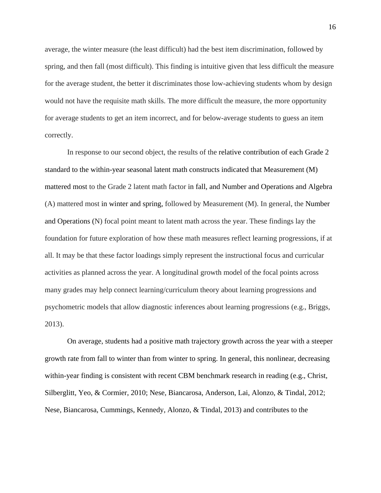average, the winter measure (the least difficult) had the best item discrimination, followed by spring, and then fall (most difficult). This finding is intuitive given that less difficult the measure for the average student, the better it discriminates those low-achieving students whom by design would not have the requisite math skills. The more difficult the measure, the more opportunity for average students to get an item incorrect, and for below-average students to guess an item correctly.

In response to our second object, the results of the relative contribution of each Grade 2 standard to the within-year seasonal latent math constructs indicated that Measurement (M) mattered most to the Grade 2 latent math factor in fall, and Number and Operations and Algebra (A) mattered most in winter and spring, followed by Measurement (M). In general, the Number and Operations (N) focal point meant to latent math across the year. These findings lay the foundation for future exploration of how these math measures reflect learning progressions, if at all. It may be that these factor loadings simply represent the instructional focus and curricular activities as planned across the year. A longitudinal growth model of the focal points across many grades may help connect learning/curriculum theory about learning progressions and psychometric models that allow diagnostic inferences about learning progressions (e.g., Briggs, 2013).

On average, students had a positive math trajectory growth across the year with a steeper growth rate from fall to winter than from winter to spring. In general, this nonlinear, decreasing within-year finding is consistent with recent CBM benchmark research in reading (e.g., Christ, Silberglitt, Yeo, & Cormier, 2010; Nese, Biancarosa, Anderson, Lai, Alonzo, & Tindal, 2012; Nese, Biancarosa, Cummings, Kennedy, Alonzo, & Tindal, 2013) and contributes to the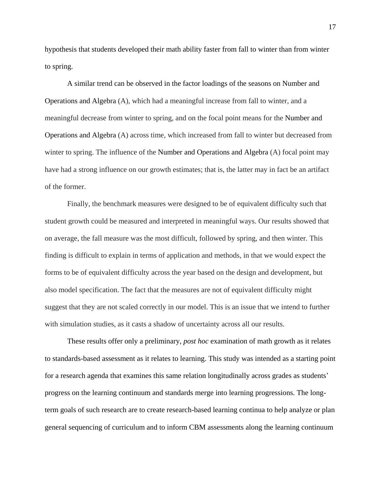hypothesis that students developed their math ability faster from fall to winter than from winter to spring.

A similar trend can be observed in the factor loadings of the seasons on Number and Operations and Algebra (A), which had a meaningful increase from fall to winter, and a meaningful decrease from winter to spring, and on the focal point means for the Number and Operations and Algebra (A) across time, which increased from fall to winter but decreased from winter to spring. The influence of the Number and Operations and Algebra (A) focal point may have had a strong influence on our growth estimates; that is, the latter may in fact be an artifact of the former.

Finally, the benchmark measures were designed to be of equivalent difficulty such that student growth could be measured and interpreted in meaningful ways. Our results showed that on average, the fall measure was the most difficult, followed by spring, and then winter. This finding is difficult to explain in terms of application and methods, in that we would expect the forms to be of equivalent difficulty across the year based on the design and development, but also model specification. The fact that the measures are not of equivalent difficulty might suggest that they are not scaled correctly in our model. This is an issue that we intend to further with simulation studies, as it casts a shadow of uncertainty across all our results.

These results offer only a preliminary, *post hoc* examination of math growth as it relates to standards-based assessment as it relates to learning. This study was intended as a starting point for a research agenda that examines this same relation longitudinally across grades as students' progress on the learning continuum and standards merge into learning progressions. The longterm goals of such research are to create research-based learning continua to help analyze or plan general sequencing of curriculum and to inform CBM assessments along the learning continuum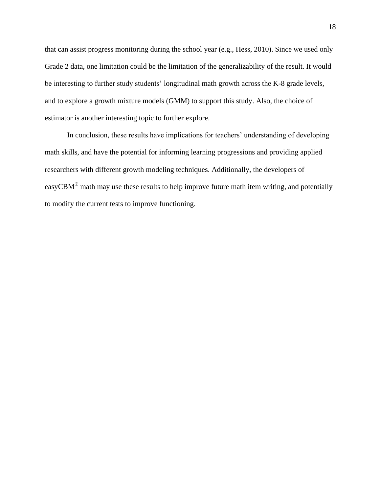that can assist progress monitoring during the school year (e.g., Hess, 2010). Since we used only Grade 2 data, one limitation could be the limitation of the generalizability of the result. It would be interesting to further study students' longitudinal math growth across the K-8 grade levels, and to explore a growth mixture models (GMM) to support this study. Also, the choice of estimator is another interesting topic to further explore.

In conclusion, these results have implications for teachers' understanding of developing math skills, and have the potential for informing learning progressions and providing applied researchers with different growth modeling techniques. Additionally, the developers of easyCBM<sup>®</sup> math may use these results to help improve future math item writing, and potentially to modify the current tests to improve functioning.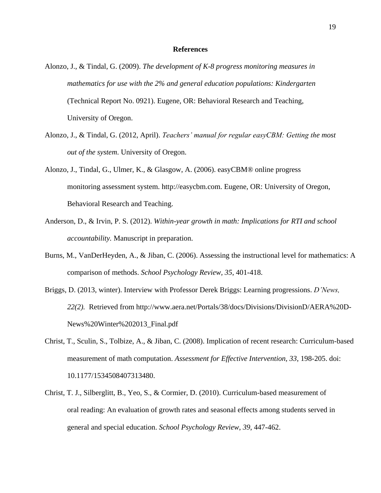#### **References**

- Alonzo, J., & Tindal, G. (2009). *The development of K-8 progress monitoring measures in mathematics for use with the 2% and general education populations: Kindergarten* (Technical Report No. 0921). Eugene, OR: Behavioral Research and Teaching, University of Oregon.
- Alonzo, J., & Tindal, G. (2012, April). *Teachers' manual for regular easyCBM: Getting the most out of the system*. University of Oregon.
- Alonzo, J., Tindal, G., Ulmer, K., & Glasgow, A. (2006). easyCBM® online progress monitoring assessment system. http://easycbm.com. Eugene, OR: University of Oregon, Behavioral Research and Teaching.
- Anderson, D., & Irvin, P. S. (2012). *Within-year growth in math: Implications for RTI and school accountability.* Manuscript in preparation.
- Burns, M., VanDerHeyden, A., & Jiban, C. (2006). Assessing the instructional level for mathematics: A comparison of methods. *School Psychology Review, 35*, 401-418.
- Briggs, D. (2013, winter). Interview with Professor Derek Briggs: Learning progressions. *D'News, 22(2).* Retrieved from http://www.aera.net/Portals/38/docs/Divisions/DivisionD/AERA%20D-News%20Winter%202013\_Final.pdf
- Christ, T., Sculin, S., Tolbize, A., & Jiban, C. (2008). Implication of recent research: Curriculum-based measurement of math computation. *Assessment for Effective Intervention, 33*, 198-205. doi: 10.1177/1534508407313480.
- Christ, T. J., Silberglitt, B., Yeo, S., & Cormier, D. (2010). Curriculum-based measurement of oral reading: An evaluation of growth rates and seasonal effects among students served in general and special education. *School Psychology Review*, *39*, 447-462.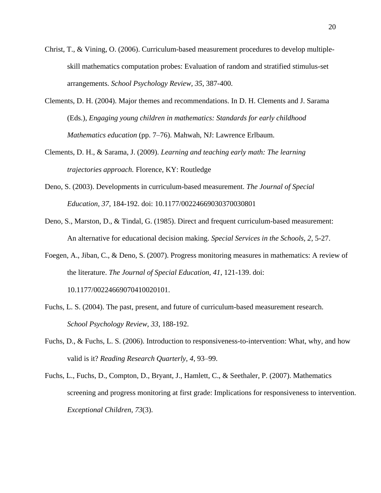- Christ, T., & Vining, O. (2006). Curriculum-based measurement procedures to develop multipleskill mathematics computation probes: Evaluation of random and stratified stimulus-set arrangements. *School Psychology Review, 35*, 387-400.
- Clements, D. H. (2004). Major themes and recommendations. In D. H. Clements and J. Sarama (Eds.), *Engaging young children in mathematics: Standards for early childhood Mathematics education* (pp. 7–76). Mahwah, NJ: Lawrence Erlbaum.
- Clements, D. H., & Sarama, J. (2009). *Learning and teaching early math: The learning trajectories approach.* Florence, KY: Routledge
- Deno, S. (2003). Developments in curriculum-based measurement. *The Journal of Special Education, 37*, 184-192. doi: 10.1177/00224669030370030801
- Deno, S., Marston, D., & Tindal, G. (1985). Direct and frequent curriculum-based measurement: An alternative for educational decision making. *Special Services in the Schools, 2*, 5-27.
- Foegen, A., Jiban, C., & Deno, S. (2007). Progress monitoring measures in mathematics: A review of the literature. *The Journal of Special Education, 41*, 121-139. doi: 10.1177/00224669070410020101.
- Fuchs, L. S. (2004). The past, present, and future of curriculum-based measurement research. *School Psychology Review, 33*, 188-192.
- Fuchs, D., & Fuchs, L. S. (2006). Introduction to responsiveness-to-intervention: What, why, and how valid is it? *Reading Research Quarterly, 4*, 93–99.
- Fuchs, L., Fuchs, D., Compton, D., Bryant, J., Hamlett, C., & Seethaler, P. (2007). Mathematics screening and progress monitoring at first grade: Implications for responsiveness to intervention. *Exceptional Children, 73*(3).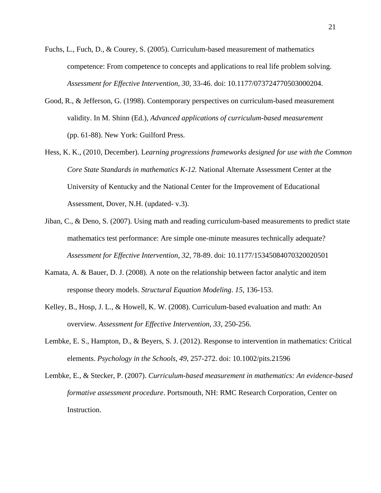- Fuchs, L., Fuch, D., & Courey, S. (2005). Curriculum-based measurement of mathematics competence: From competence to concepts and applications to real life problem solving. *Assessment for Effective Intervention, 30*, 33-46. doi: 10.1177/073724770503000204.
- Good, R., & Jefferson, G. (1998). Contemporary perspectives on curriculum-based measurement validity. In M. Shinn (Ed.), *Advanced applications of curriculum-based measurement* (pp. 61-88). New York: Guilford Press.
- Hess, K. K., (2010, December). L*earning progressions frameworks designed for use with the Common Core State Standards in mathematics K-12.* National Alternate Assessment Center at the University of Kentucky and the National Center for the Improvement of Educational Assessment, Dover, N.H. (updated- v.3).
- Jiban, C., & Deno, S. (2007). Using math and reading curriculum-based measurements to predict state mathematics test performance: Are simple one-minute measures technically adequate? *Assessment for Effective Intervention, 32*, 78-89. doi: 10.1177/15345084070320020501
- Kamata, A. & Bauer, D. J. (2008). A note on the relationship between factor analytic and item response theory models. *Structural Equation Modeling*. *15*, 136-153.
- Kelley, B., Hosp, J. L., & Howell, K. W. (2008). Curriculum-based evaluation and math: An overview. *Assessment for Effective Intervention, 33,* 250-256.
- Lembke, E. S., Hampton, D., & Beyers, S. J. (2012). Response to intervention in mathematics: Critical elements. *Psychology in the Schools, 49*, 257-272. doi: 10.1002/pits.21596
- Lembke, E., & Stecker, P. (2007). *Curriculum-based measurement in mathematics: An evidence-based formative assessment procedure*. Portsmouth, NH: RMC Research Corporation, Center on Instruction.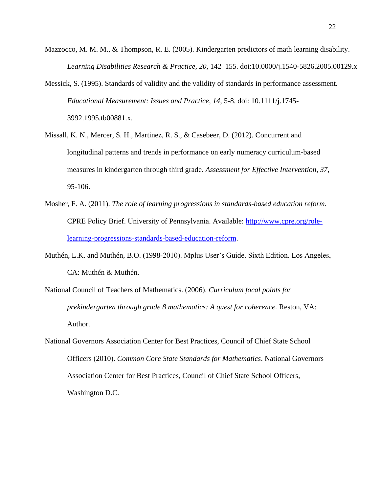- Mazzocco, M. M. M., & Thompson, R. E. (2005). Kindergarten predictors of math learning disability. *Learning Disabilities Research & Practice, 20,* 142–155. doi:10.0000/j.1540-5826.2005.00129.x
- Messick, S. (1995). Standards of validity and the validity of standards in performance assessment. *Educational Measurement: Issues and Practice, 14*, 5-8. doi: 10.1111/j.1745- 3992.1995.tb00881.x.
- Missall, K. N., Mercer, S. H., Martinez, R. S., & Casebeer, D. (2012). Concurrent and longitudinal patterns and trends in performance on early numeracy curriculum-based measures in kindergarten through third grade. *Assessment for Effective Intervention, 37,* 95-106.
- Mosher, F. A. (2011). *The role of learning progressions in standards-based education reform*. CPRE Policy Brief. University of Pennsylvania. Available: [http://www.cpre.org/role](http://www.cpre.org/role-learning-progressions-standards-based-education-reform)[learning-progressions-standards-based-education-reform.](http://www.cpre.org/role-learning-progressions-standards-based-education-reform)
- Muthén, L.K. and Muthén, B.O. (1998-2010). Mplus User's Guide. Sixth Edition. Los Angeles, CA: Muthén & Muthén.
- National Council of Teachers of Mathematics. (2006). *Curriculum focal points for prekindergarten through grade 8 mathematics: A quest for coherence.* Reston, VA: Author.
- National Governors Association Center for Best Practices, Council of Chief State School Officers (2010). *Common Core State Standards for Mathematics*. National Governors Association Center for Best Practices, Council of Chief State School Officers, Washington D.C.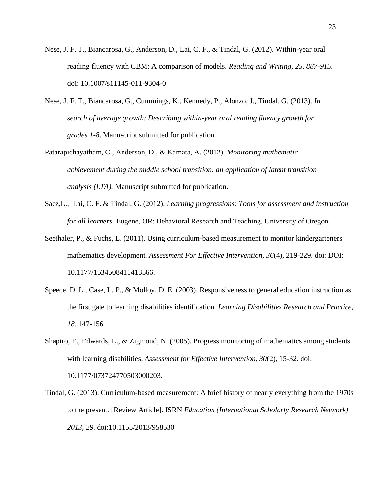- Nese, J. F. T., Biancarosa, G., Anderson, D., Lai, C. F., & Tindal, G. (2012). Within-year oral reading fluency with CBM: A comparison of models. *Reading and Writing, 25, 887-915.*  doi: 10.1007/s11145-011-9304-0
- Nese, J. F. T., Biancarosa, G., Cummings, K., Kennedy, P., Alonzo, J., Tindal, G. (2013). *In search of average growth: Describing within-year oral reading fluency growth for grades 1-8*. Manuscript submitted for publication.
- Patarapichayatham, C., Anderson, D., & Kamata, A. (2012). *Monitoring mathematic achievement during the middle school transition: an application of latent transition analysis (LTA).* Manuscript submitted for publication.
- Saez,L., Lai, C. F. & Tindal, G. (2012). *Learning progressions: Tools for assessment and instruction for all learners.* Eugene, OR: Behavioral Research and Teaching, University of Oregon.
- Seethaler, P., & Fuchs, L. (2011). Using curriculum-based measurement to monitor kindergarteners' mathematics development. *Assessment For Effective Intervention, 36*(4), 219-229. doi: DOI: 10.1177/1534508411413566.
- Speece, D. L., Case, L. P., & Molloy, D. E. (2003). Responsiveness to general education instruction as the first gate to learning disabilities identification. *Learning Disabilities Research and Practice, 18,* 147-156.
- Shapiro, E., Edwards, L., & Zigmond, N. (2005). Progress monitoring of mathematics among students with learning disabilities. *Assessment for Effective Intervention, 30*(2), 15-32. doi: 10.1177/073724770503000203.
- Tindal, G. (2013). Curriculum-based measurement: A brief history of nearly everything from the 1970s to the present. [Review Article]. ISRN *Education (International Scholarly Research Network) 2013, 29.* doi:10.1155/2013/958530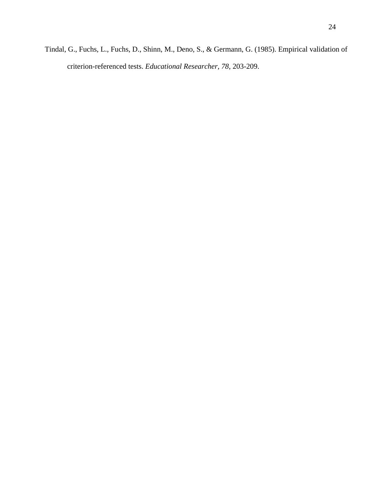Tindal, G., Fuchs, L., Fuchs, D., Shinn, M., Deno, S., & Germann, G. (1985). Empirical validation of criterion-referenced tests. *Educational Researcher, 78*, 203-209.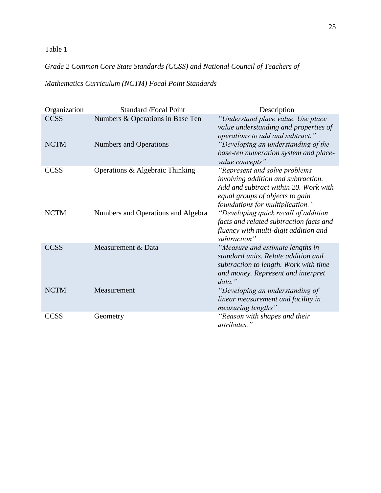*Grade 2 Common Core State Standards (CCSS) and National Council of Teachers of* 

*Mathematics Curriculum (NCTM) Focal Point Standards*

| Organization               | <b>Standard /Focal Point</b>                                      | Description                                                                                                                                                                                     |
|----------------------------|-------------------------------------------------------------------|-------------------------------------------------------------------------------------------------------------------------------------------------------------------------------------------------|
| <b>CCSS</b><br><b>NCTM</b> | Numbers & Operations in Base Ten<br><b>Numbers and Operations</b> | "Understand place value. Use place<br>value understanding and properties of<br>operations to add and subtract."<br>"Developing an understanding of the<br>base-ten numeration system and place- |
|                            |                                                                   | value concepts"                                                                                                                                                                                 |
| <b>CCSS</b>                | Operations & Algebraic Thinking                                   | "Represent and solve problems<br>involving addition and subtraction.<br>Add and subtract within 20. Work with<br>equal groups of objects to gain<br>foundations for multiplication."            |
| <b>NCTM</b>                | Numbers and Operations and Algebra                                | "Developing quick recall of addition<br>facts and related subtraction facts and<br>fluency with multi-digit addition and<br>subtraction"                                                        |
| <b>CCSS</b>                | Measurement & Data                                                | "Measure and estimate lengths in<br>standard units. Relate addition and<br>subtraction to length. Work with time<br>and money. Represent and interpret<br>$data.$ "                             |
| <b>NCTM</b>                | Measurement                                                       | "Developing an understanding of<br>linear measurement and facility in<br>measuring lengths"                                                                                                     |
| <b>CCSS</b>                | Geometry                                                          | "Reason with shapes and their<br>attributes."                                                                                                                                                   |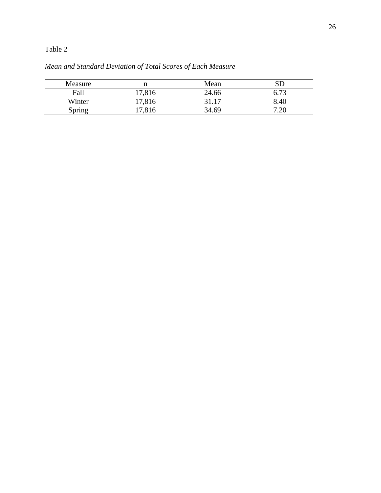| <b>Measure</b> | n      | Mean  |      |
|----------------|--------|-------|------|
| Fall           | 17,816 | 24.66 | 6.73 |
| Winter         | 17,816 | 31.17 | 8.40 |
| Spring         | 17,816 | 34.69 | 7.20 |

*Mean and Standard Deviation of Total Scores of Each Measure*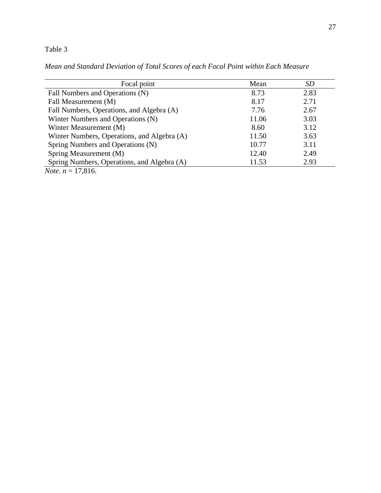*Mean and Standard Deviation of Total Scores of each Focal Point within Each Measure*

| Focal point                                 | Mean  | <b>SD</b> |
|---------------------------------------------|-------|-----------|
| Fall Numbers and Operations (N)             | 8.73  | 2.83      |
| Fall Measurement (M)                        | 8.17  | 2.71      |
| Fall Numbers, Operations, and Algebra (A)   | 7.76  | 2.67      |
| Winter Numbers and Operations (N)           | 11.06 | 3.03      |
| Winter Measurement (M)                      | 8.60  | 3.12      |
| Winter Numbers, Operations, and Algebra (A) | 11.50 | 3.63      |
| Spring Numbers and Operations (N)           | 10.77 | 3.11      |
| Spring Measurement (M)                      | 12.40 | 2.49      |
| Spring Numbers, Operations, and Algebra (A) | 11.53 | 2.93      |
| <i>Note.</i> $n = 17,816$ .                 |       |           |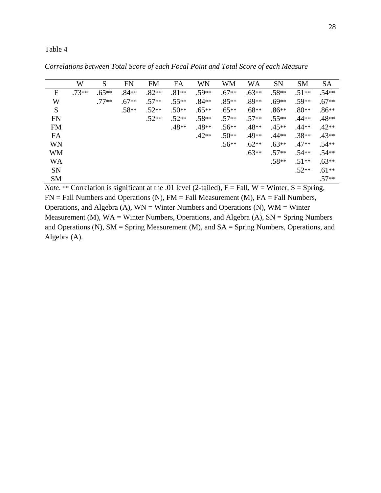|           | W       | S       | <b>FN</b> | <b>FM</b> | FA      | WN      | <b>WM</b> | WA      | <b>SN</b> | <b>SM</b> | <b>SA</b> |
|-----------|---------|---------|-----------|-----------|---------|---------|-----------|---------|-----------|-----------|-----------|
| F         | $.73**$ | $.65**$ | $.84**$   | $.82**$   | $.81**$ | $.59**$ | $.67**$   | $.63**$ | $.58**$   | $.51**$   | $.54**$   |
| W         |         | $.77**$ | $.67**$   | $.57**$   | $.55**$ | $.84**$ | $.85**$   | $.89**$ | $.69**$   | $.59**$   | $.67**$   |
| S         |         |         | $.58**$   | $.52**$   | $.50**$ | $.65**$ | $.65**$   | $.68**$ | $.86**$   | $.80**$   | $.86**$   |
| <b>FN</b> |         |         |           | $.52**$   | $.52**$ | $.58**$ | $.57**$   | $.57**$ | $.55**$   | $.44**$   | $.48**$   |
| <b>FM</b> |         |         |           |           | .48**   | .48**   | $.56**$   | $.48**$ | $.45**$   | $.44**$   | $.42**$   |
| FA        |         |         |           |           |         | $.42**$ | $.50**$   | .49**   | $.44**$   | $.38**$   | $.43**$   |
| WN        |         |         |           |           |         |         | $.56**$   | $.62**$ | $.63**$   | $.47**$   | $.54**$   |
| <b>WM</b> |         |         |           |           |         |         |           | $.63**$ | $.57**$   | $.54**$   | $.54**$   |
| WA        |         |         |           |           |         |         |           |         | $.58**$   | $.51**$   | $.63**$   |
| <b>SN</b> |         |         |           |           |         |         |           |         |           | $.52**$   | $.61**$   |
| <b>SM</b> |         |         |           |           |         |         |           |         |           |           | $.57**$   |

*Correlations between Total Score of each Focal Point and Total Score of each Measure*

*Note.* \*\* Correlation is significant at the .01 level (2-tailed),  $F = Fall$ ,  $W = Winter$ ,  $S = Spring$ ,  $FN = Fall Numbers and Operations (N), FM = Fall Measurement (M), FA = Fall Numbers,$ Operations, and Algebra (A),  $WN = Winter Numbers$  and Operations (N),  $WM = Winter$ Measurement (M),  $WA = Winter Numbers$ , Operations, and Algebra (A),  $SN = Spring Numbers$ and Operations (N), SM = Spring Measurement (M), and SA = Spring Numbers, Operations, and Algebra (A).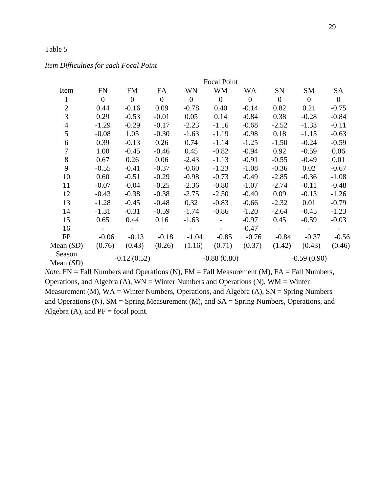|                       | <b>Focal Point</b> |                          |              |                |                |          |                |                |                |  |  |
|-----------------------|--------------------|--------------------------|--------------|----------------|----------------|----------|----------------|----------------|----------------|--|--|
| Item                  | <b>FN</b>          | <b>FM</b>                | FA           | WN             | <b>WM</b>      | WA       | SN             | SM             | SA             |  |  |
| 1                     | $\overline{0}$     | $\boldsymbol{0}$         | $\mathbf{0}$ | $\overline{0}$ | $\overline{0}$ | $\theta$ | $\overline{0}$ | $\overline{0}$ | $\overline{0}$ |  |  |
| $\overline{2}$        | 0.44               | $-0.16$                  | 0.09         | $-0.78$        | 0.40           | $-0.14$  | 0.82           | 0.21           | $-0.75$        |  |  |
| 3                     | 0.29               | $-0.53$                  | $-0.01$      | 0.05           | 0.14           | $-0.84$  | 0.38           | $-0.28$        | $-0.84$        |  |  |
| $\overline{4}$        | $-1.29$            | $-0.29$                  | $-0.17$      | $-2.23$        | $-1.16$        | $-0.68$  | $-2.52$        | $-1.33$        | $-0.11$        |  |  |
| 5                     | $-0.08$            | 1.05                     | $-0.30$      | $-1.63$        | $-1.19$        | $-0.98$  | 0.18           | $-1.15$        | $-0.63$        |  |  |
| 6                     | 0.39               | $-0.13$                  | 0.26         | 0.74           | $-1.14$        | $-1.25$  | $-1.50$        | $-0.24$        | $-0.59$        |  |  |
| 7                     | 1.00               | $-0.45$                  | $-0.46$      | 0.45           | $-0.82$        | $-0.94$  | 0.92           | $-0.59$        | 0.06           |  |  |
| 8                     | 0.67               | 0.26                     | 0.06         | $-2.43$        | $-1.13$        | $-0.91$  | $-0.55$        | $-0.49$        | 0.01           |  |  |
| 9                     | $-0.55$            | $-0.41$                  | $-0.37$      | $-0.60$        | $-1.23$        | $-1.08$  | $-0.36$        | 0.02           | $-0.67$        |  |  |
| 10                    | 0.60               | $-0.51$                  | $-0.29$      | $-0.98$        | $-0.73$        | $-0.49$  | $-2.85$        | $-0.36$        | $-1.08$        |  |  |
| 11                    | $-0.07$            | $-0.04$                  | $-0.25$      | $-2.36$        | $-0.80$        | $-1.07$  | $-2.74$        | $-0.11$        | $-0.48$        |  |  |
| 12                    | $-0.43$            | $-0.38$                  | $-0.38$      | $-2.75$        | $-2.50$        | $-0.40$  | 0.09           | $-0.13$        | $-1.26$        |  |  |
| 13                    | $-1.28$            | $-0.45$                  | $-0.48$      | 0.32           | $-0.83$        | $-0.66$  | $-2.32$        | 0.01           | $-0.79$        |  |  |
| 14                    | $-1.31$            | $-0.31$                  | $-0.59$      | $-1.74$        | $-0.86$        | $-1.20$  | $-2.64$        | $-0.45$        | $-1.23$        |  |  |
| 15                    | 0.65               | 0.44                     | 0.16         | $-1.63$        |                | $-0.97$  | 0.45           | $-0.59$        | $-0.03$        |  |  |
| 16                    |                    | $\overline{\phantom{a}}$ |              |                |                | $-0.47$  |                |                |                |  |  |
| FP                    | $-0.06$            | $-0.13$                  | $-0.18$      | $-1.04$        | $-0.85$        | $-0.76$  | $-0.84$        | $-0.37$        | $-0.56$        |  |  |
| Mean $(SD)$           | (0.76)             | (0.43)                   | (0.26)       | (1.16)         | (0.71)         | (0.37)   | (1.42)         | (0.43)         | (0.46)         |  |  |
| Season<br>Mean $(SD)$ | $-0.12(0.52)$      |                          |              |                | $-0.88(0.80)$  |          |                | $-0.59(0.90)$  |                |  |  |

*Item Difficulties for each Focal Point* 

*Note*. FN = Fall Numbers and Operations (N), FM = Fall Measurement (M), FA = Fall Numbers, Operations, and Algebra (A),  $WN = Winter$  Numbers and Operations (N),  $WM = Winter$ Measurement (M),  $WA = Winter Numbers$ , Operations, and Algebra (A),  $SN = Spring Numbers$ and Operations (N), SM = Spring Measurement (M), and SA = Spring Numbers, Operations, and Algebra (A), and  $PF = focal$  point.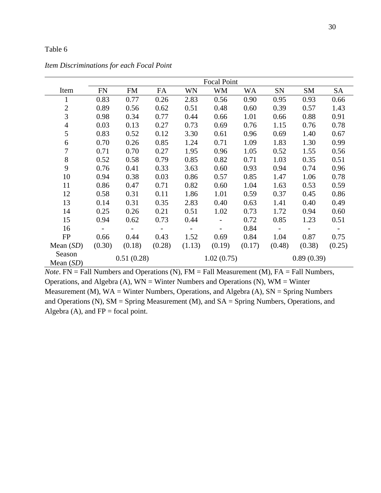|                       | <b>Focal Point</b>       |                          |                          |                          |            |           |                          |                          |        |  |  |
|-----------------------|--------------------------|--------------------------|--------------------------|--------------------------|------------|-----------|--------------------------|--------------------------|--------|--|--|
| Item                  | <b>FN</b>                | <b>FM</b>                | FA                       | WN                       | WM         | <b>WA</b> | SN                       | SM                       | SA     |  |  |
| 1                     | 0.83                     | 0.77                     | 0.26                     | 2.83                     | 0.56       | 0.90      | 0.95                     | 0.93                     | 0.66   |  |  |
| $\mathbf{2}$          | 0.89                     | 0.56                     | 0.62                     | 0.51                     | 0.48       | 0.60      | 0.39                     | 0.57                     | 1.43   |  |  |
| 3                     | 0.98                     | 0.34                     | 0.77                     | 0.44                     | 0.66       | 1.01      | 0.66                     | 0.88                     | 0.91   |  |  |
| $\overline{4}$        | 0.03                     | 0.13                     | 0.27                     | 0.73                     | 0.69       | 0.76      | 1.15                     | 0.76                     | 0.78   |  |  |
| 5                     | 0.83                     | 0.52                     | 0.12                     | 3.30                     | 0.61       | 0.96      | 0.69                     | 1.40                     | 0.67   |  |  |
| 6                     | 0.70                     | 0.26                     | 0.85                     | 1.24                     | 0.71       | 1.09      | 1.83                     | 1.30                     | 0.99   |  |  |
| 7                     | 0.71                     | 0.70                     | 0.27                     | 1.95                     | 0.96       | 1.05      | 0.52                     | 1.55                     | 0.56   |  |  |
| 8                     | 0.52                     | 0.58                     | 0.79                     | 0.85                     | 0.82       | 0.71      | 1.03                     | 0.35                     | 0.51   |  |  |
| 9                     | 0.76                     | 0.41                     | 0.33                     | 3.63                     | 0.60       | 0.93      | 0.94                     | 0.74                     | 0.96   |  |  |
| 10                    | 0.94                     | 0.38                     | 0.03                     | 0.86                     | 0.57       | 0.85      | 1.47                     | 1.06                     | 0.78   |  |  |
| 11                    | 0.86                     | 0.47                     | 0.71                     | 0.82                     | 0.60       | 1.04      | 1.63                     | 0.53                     | 0.59   |  |  |
| 12                    | 0.58                     | 0.31                     | 0.11                     | 1.86                     | 1.01       | 0.59      | 0.37                     | 0.45                     | 0.86   |  |  |
| 13                    | 0.14                     | 0.31                     | 0.35                     | 2.83                     | 0.40       | 0.63      | 1.41                     | 0.40                     | 0.49   |  |  |
| 14                    | 0.25                     | 0.26                     | 0.21                     | 0.51                     | 1.02       | 0.73      | 1.72                     | 0.94                     | 0.60   |  |  |
| 15                    | 0.94                     | 0.62                     | 0.73                     | 0.44                     |            | 0.72      | 0.85                     | 1.23                     | 0.51   |  |  |
| 16                    | $\overline{\phantom{0}}$ | $\overline{\phantom{a}}$ | $\overline{\phantom{a}}$ | $\overline{\phantom{a}}$ |            | 0.84      | $\overline{\phantom{a}}$ | $\overline{\phantom{a}}$ |        |  |  |
| FP                    | 0.66                     | 0.44                     | 0.43                     | 1.52                     | 0.69       | 0.84      | 1.04                     | 0.87                     | 0.75   |  |  |
| Mean $(SD)$           | (0.30)                   | (0.18)                   | (0.28)                   | (1.13)                   | (0.19)     | (0.17)    | (0.48)                   | (0.38)                   | (0.25) |  |  |
| Season<br>Mean $(SD)$ | 0.51(0.28)               |                          |                          |                          | 1.02(0.75) |           |                          | 0.89(0.39)               |        |  |  |

*Item Discriminations for each Focal Point* 

*Note*. FN = Fall Numbers and Operations (N), FM = Fall Measurement (M), FA = Fall Numbers, Operations, and Algebra (A),  $WN = Winter$  Numbers and Operations (N),  $WM = Winter$ Measurement (M),  $WA = Winter Numbers$ , Operations, and Algebra (A),  $SN = Spring Numbers$ and Operations (N), SM = Spring Measurement (M), and SA = Spring Numbers, Operations, and Algebra (A), and  $FP = focal$  point.